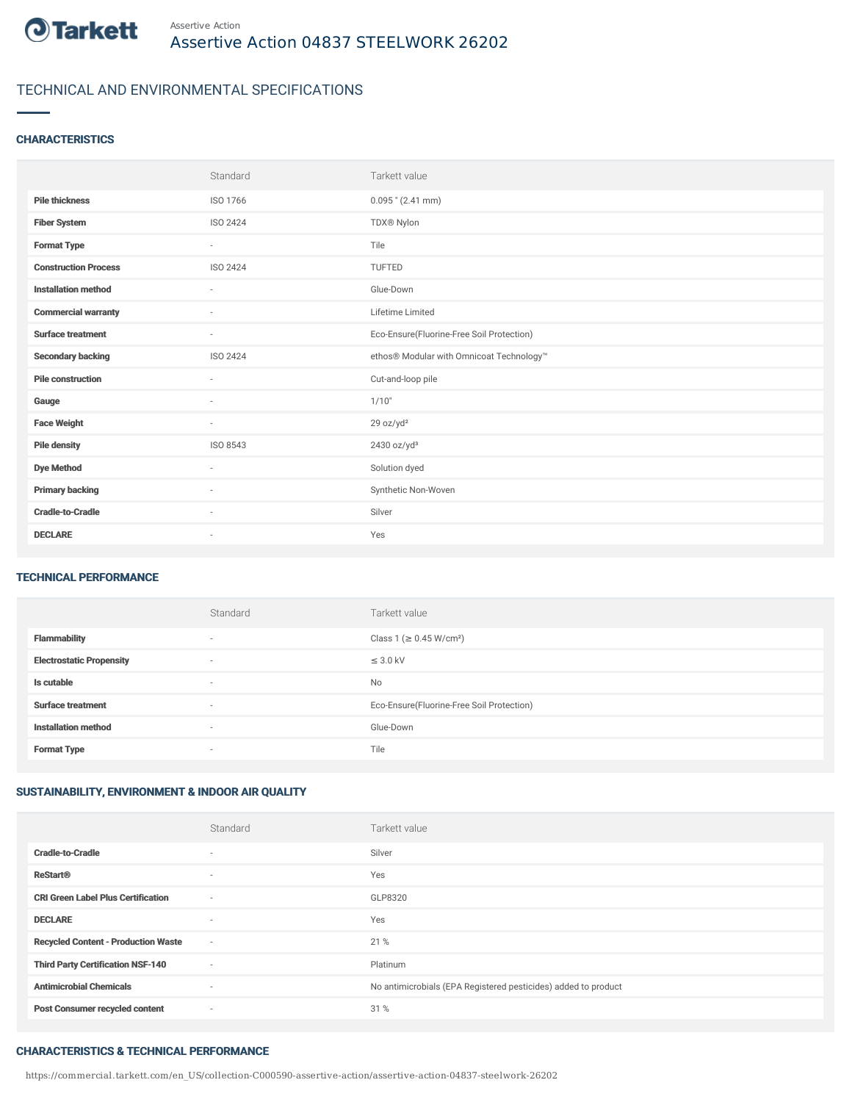

## TECHNICAL AND ENVIRONMENTAL SPECIFICATIONS

#### **CHARACTERISTICS**

|                             | Standard                 | Tarkett value                             |
|-----------------------------|--------------------------|-------------------------------------------|
| <b>Pile thickness</b>       | ISO 1766                 | $0.095$ " (2.41 mm)                       |
| <b>Fiber System</b>         | ISO 2424                 | TDX® Nylon                                |
| <b>Format Type</b>          | $\sim$                   | Tile                                      |
| <b>Construction Process</b> | ISO 2424                 | TUFTED                                    |
| <b>Installation method</b>  | $\overline{\phantom{a}}$ | Glue-Down                                 |
| <b>Commercial warranty</b>  | $\sim$                   | Lifetime Limited                          |
| <b>Surface treatment</b>    | $\sim$                   | Eco-Ensure(Fluorine-Free Soil Protection) |
| <b>Secondary backing</b>    | ISO 2424                 | ethos® Modular with Omnicoat Technology™  |
| <b>Pile construction</b>    | $\sim$                   | Cut-and-loop pile                         |
| Gauge                       | $\sim$                   | 1/10"                                     |
| <b>Face Weight</b>          | $\sim$                   | 29 oz/yd <sup>2</sup>                     |
| <b>Pile density</b>         | ISO 8543                 | 2430 oz/yd <sup>3</sup>                   |
| <b>Dye Method</b>           | ٠                        | Solution dyed                             |
| <b>Primary backing</b>      | ٠                        | Synthetic Non-Woven                       |
| <b>Cradle-to-Cradle</b>     | $\sim$                   | Silver                                    |
| <b>DECLARE</b>              | $\overline{\phantom{a}}$ | Yes                                       |

#### TECHNICAL PERFORMANCE

|                                 | Standard                 | Tarkett value                             |
|---------------------------------|--------------------------|-------------------------------------------|
| <b>Flammability</b>             | $\overline{\phantom{a}}$ | Class 1 (≥ 0.45 W/cm <sup>2</sup> )       |
| <b>Electrostatic Propensity</b> | $\sim$                   | $\leq$ 3.0 kV                             |
| Is cutable                      | $\sim$                   | No                                        |
| <b>Surface treatment</b>        | $\overline{\phantom{a}}$ | Eco-Ensure(Fluorine-Free Soil Protection) |
| <b>Installation method</b>      | $\overline{\phantom{a}}$ | Glue-Down                                 |
| <b>Format Type</b>              | $\overline{\phantom{a}}$ | Tile                                      |

### SUSTAINABILITY, ENVIRONMENT & INDOOR AIR QUALITY

|                                            | Standard                 | Tarkett value                                                  |
|--------------------------------------------|--------------------------|----------------------------------------------------------------|
| <b>Cradle-to-Cradle</b>                    | $\overline{\phantom{a}}$ | Silver                                                         |
| <b>ReStart®</b>                            | $\overline{\phantom{a}}$ | Yes                                                            |
| <b>CRI Green Label Plus Certification</b>  | $\sim$                   | GLP8320                                                        |
| <b>DECLARE</b>                             | $\overline{\phantom{a}}$ | Yes                                                            |
| <b>Recycled Content - Production Waste</b> | $\sim$                   | 21 %                                                           |
| <b>Third Party Certification NSF-140</b>   | $\overline{\phantom{a}}$ | Platinum                                                       |
| <b>Antimicrobial Chemicals</b>             | ٠                        | No antimicrobials (EPA Registered pesticides) added to product |
| <b>Post Consumer recycled content</b>      | $\overline{\phantom{a}}$ | 31 %                                                           |

#### CHARACTERISTICS & TECHNICAL PERFORMANCE

https://commercial.tarkett.com/en\_US/collection-C000590-assertive-action/assertive-action-04837-steelwork-26202